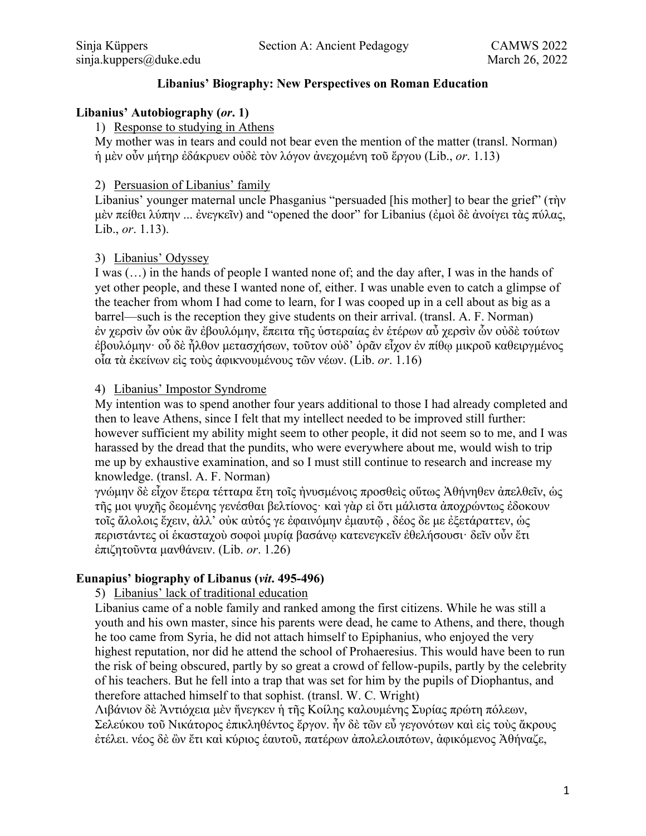## **Libanius' Biography: New Perspectives on Roman Education**

### **Libanius' Autobiography (***or***. 1)**

### 1) Response to studying in Athens

My mother was in tears and could not bear even the mention of the matter (transl. Norman) ἡ μὲν οὖν μήτηρ ἐδάκρυεν οὐδὲ τὸν λόγον ἀνεχομένη τοῦ ἔργου (Lib., *or*. 1.13)

## 2) Persuasion of Libanius' family

Libanius' younger maternal uncle Phasganius "persuaded [his mother] to bear the grief" (τὴν μὲν πείθει λύπην ... ἐνεγκεῖν) and "opened the door" for Libanius (ἐμοὶ δὲ ἀνοίγει τὰς πύλας, Lib., *or*. 1.13).

## 3) Libanius' Odyssey

I was (…) in the hands of people I wanted none of; and the day after, I was in the hands of yet other people, and these I wanted none of, either. I was unable even to catch a glimpse of the teacher from whom I had come to learn, for I was cooped up in a cell about as big as a barrel—such is the reception they give students on their arrival. (transl. A. F. Norman) ἐν χερσὶν ὧν οὐκ ἂν ἐβουλόμην, ἔπειτα τῆς ὑστεραίας ἐν ἑτέρων αὖ χερσὶν ὧν οὐδὲ τούτων ἐβουλόμην· οὗ δὲ ἦλθον μετασχήσων, τοῦτον οὐδ' ὁρᾶν εἶχον ἐν πίθῳ μικροῦ καθειργμένος οἷα τὰ ἐκείνων εἰς τοὺς ἀφικνουμένους τῶν νέων. (Lib. *or*. 1.16)

## 4) Libanius' Impostor Syndrome

My intention was to spend another four years additional to those I had already completed and then to leave Athens, since I felt that my intellect needed to be improved still further: however sufficient my ability might seem to other people, it did not seem so to me, and I was harassed by the dread that the pundits, who were everywhere about me, would wish to trip me up by exhaustive examination, and so I must still continue to research and increase my knowledge. (transl. A. F. Norman)

γνώμην δὲ εἶχον ἕτερα τέτταρα ἔτη τοῖς ἠνυσμένοις προσθεὶς οὕτως Ἀθήνηθεν ἀπελθεῖν, ὡς τῆς μοι ψυχῆς δεομένης γενέσθαι βελτίονος· καὶ γὰρ εἰ ὅτι μάλιστα ἀποχρώντως ἐδοκουν τοῖς ἄλολοις ἔχειν, ἀλλ' οὐκ αὐτός γε ἐφαινόμην ἐμαυτῷ , δέος δε με ἐξετάραττεν, ὡς περιστάντες οἱ ἑκασταχοὺ σοφοὶ μυρίᾳ βασάνῳ κατενεγκεῖν ἐθελήσουσι· δεῖν οὖν ἔτι ἐπιζητοῦντα μανθάνειν. (Lib. *or*. 1.26)

#### **Eunapius' biography of Libanus (***vit***. 495-496)**

#### 5) Libanius' lack of traditional education

Libanius came of a noble family and ranked among the first citizens. While he was still a youth and his own master, since his parents were dead, he came to Athens, and there, though he too came from Syria, he did not attach himself to Epiphanius, who enjoyed the very highest reputation, nor did he attend the school of Prohaeresius. This would have been to run the risk of being obscured, partly by so great a crowd of fellow-pupils, partly by the celebrity of his teachers. But he fell into a trap that was set for him by the pupils of Diophantus, and therefore attached himself to that sophist. (transl. W. C. Wright)

Λιβάνιον δὲ Ἀντιόχεια μὲν ἤνεγκεν ἡ τῆς Κοίλης καλουμένης Συρίας πρώτη πόλεων, Σελεύκου τοῦ Νικάτορος ἐπικληθέντος ἔργον. ἦν δὲ τῶν εὖ γεγονότων καὶ εἰς τοὺς ἄκρους ἐτέλει. νέος δὲ ὢν ἔτι καὶ κύριος ἑαυτοῦ, πατέρων ἀπολελοιπότων, ἀφικόμενος Ἀθήναζε,